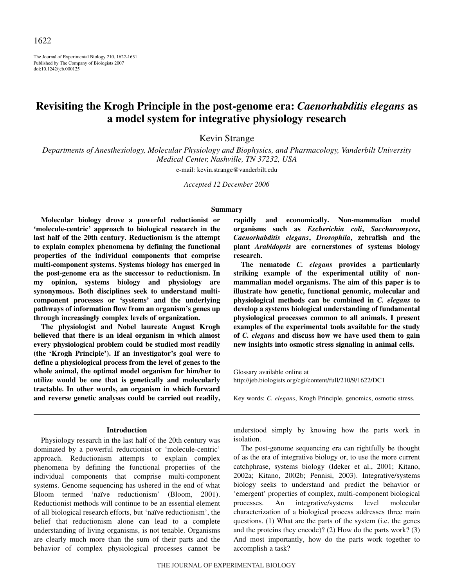The Journal of Experimental Biology 210, 1622-1631 Published by The Company of Biologists 2007 doi:10.1242/jeb.000125

# **Revisiting the Krogh Principle in the post-genome era:** *Caenorhabditis elegans* **as a model system for integrative physiology research**

Kevin Strange

*Departments of Anesthesiology, Molecular Physiology and Biophysics, and Pharmacology, Vanderbilt University Medical Center, Nashville, TN 37232, USA*

e-mail: kevin.strange@vanderbilt.edu

*Accepted 12 December 2006*

#### **Summary**

**Molecular biology drove a powerful reductionist or 'molecule-centric' approach to biological research in the last half of the 20th century. Reductionism is the attempt to explain complex phenomena by defining the functional properties of the individual components that comprise multi-component systems. Systems biology has emerged in the post-genome era as the successor to reductionism. In my opinion, systems biology and physiology are synonymous. Both disciplines seek to understand multicomponent processes or 'systems' and the underlying pathways of information flow from an organism's genes up through increasingly complex levels of organization.** 

**The physiologist and Nobel laureate August Krogh believed that there is an ideal organism in which almost every physiological problem could be studied most readily (the 'Krogh Principle'). If an investigator's goal were to define a physiological process from the level of genes to the whole animal, the optimal model organism for him/her to utilize would be one that is genetically and molecularly tractable. In other words, an organism in which forward and reverse genetic analyses could be carried out readily,**

#### **Introduction**

Physiology research in the last half of the 20th century was dominated by a powerful reductionist or 'molecule-centric' approach. Reductionism attempts to explain complex phenomena by defining the functional properties of the individual components that comprise multi-component systems. Genome sequencing has ushered in the end of what Bloom termed 'naïve reductionism' (Bloom, 2001). Reductionist methods will continue to be an essential element of all biological research efforts, but 'naïve reductionism', the belief that reductionism alone can lead to a complete understanding of living organisms, is not tenable. Organisms are clearly much more than the sum of their parts and the behavior of complex physiological processes cannot be **rapidly and economically. Non-mammalian model organisms such as** *Escherichia coli***,** *Saccharomyces***,** *Caenorhabditis elegans***,** *Drosophila***, zebrafish and the plant** *Arabidopsis* **are cornerstones of systems biology research.** 

**The nematode** *C. elegans* **provides a particularly striking example of the experimental utility of nonmammalian model organisms. The aim of this paper is to illustrate how genetic, functional genomic, molecular and physiological methods can be combined in** *C. elegans* **to develop a systems biological understanding of fundamental physiological processes common to all animals. I present examples of the experimental tools available for the study of** *C. elegans* **and discuss how we have used them to gain new insights into osmotic stress signaling in animal cells.** 

Glossary available online at http://jeb.biologists.org/cgi/content/full/210/9/1622/DC1

Key words: *C. elegans*, Krogh Principle, genomics, osmotic stress.

understood simply by knowing how the parts work in isolation.

The post-genome sequencing era can rightfully be thought of as the era of integrative biology or, to use the more current catchphrase, systems biology (Ideker et al., 2001; Kitano, 2002a; Kitano, 2002b; Pennisi, 2003). Integrative/systems biology seeks to understand and predict the behavior or 'emergent' properties of complex, multi-component biological processes. An integrative/systems level molecular characterization of a biological process addresses three main questions. (1) What are the parts of the system (i.e. the genes and the proteins they encode)? (2) How do the parts work? (3) And most importantly, how do the parts work together to accomplish a task?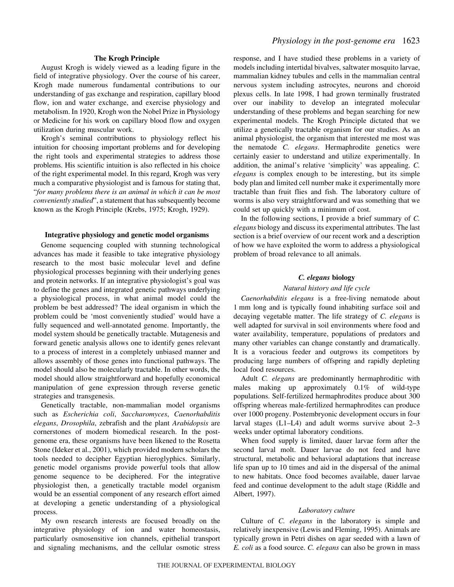#### **The Krogh Principle**

August Krogh is widely viewed as a leading figure in the field of integrative physiology. Over the course of his career, Krogh made numerous fundamental contributions to our understanding of gas exchange and respiration, capillary blood flow, ion and water exchange, and exercise physiology and metabolism. In 1920, Krogh won the Nobel Prize in Physiology or Medicine for his work on capillary blood flow and oxygen utilization during muscular work.

Krogh's seminal contributions to physiology reflect his intuition for choosing important problems and for developing the right tools and experimental strategies to address those problems. His scientific intuition is also reflected in his choice of the right experimental model. In this regard, Krogh was very much a comparative physiologist and is famous for stating that, "*for many problems there is an animal in which it can be most conveniently studied*", a statement that has subsequently become known as the Krogh Principle (Krebs, 1975; Krogh, 1929).

#### **Integrative physiology and genetic model organisms**

Genome sequencing coupled with stunning technological advances has made it feasible to take integrative physiology research to the most basic molecular level and define physiological processes beginning with their underlying genes and protein networks. If an integrative physiologist's goal was to define the genes and integrated genetic pathways underlying a physiological process, in what animal model could the problem be best addressed? The ideal organism in which the problem could be 'most conveniently studied' would have a fully sequenced and well-annotated genome. Importantly, the model system should be genetically tractable. Mutagenesis and forward genetic analysis allows one to identify genes relevant to a process of interest in a completely unbiased manner and allows assembly of those genes into functional pathways. The model should also be molecularly tractable. In other words, the model should allow straightforward and hopefully economical manipulation of gene expression through reverse genetic strategies and transgenesis.

Genetically tractable, non-mammalian model organisms such as *Escherichia coli*, *Saccharomyces*, *Caenorhabditis elegans*, *Drosophila*, zebrafish and the plant *Arabidopsis* are cornerstones of modern biomedical research. In the postgenome era, these organisms have been likened to the Rosetta Stone (Ideker et al., 2001), which provided modern scholars the tools needed to decipher Egyptian hieroglyphics. Similarly, genetic model organisms provide powerful tools that allow genome sequence to be deciphered. For the integrative physiologist then, a genetically tractable model organism would be an essential component of any research effort aimed at developing a genetic understanding of a physiological process.

My own research interests are focused broadly on the integrative physiology of ion and water homeostasis, particularly osmosensitive ion channels, epithelial transport and signaling mechanisms, and the cellular osmotic stress response, and I have studied these problems in a variety of models including intertidal bivalves, saltwater mosquito larvae, mammalian kidney tubules and cells in the mammalian central nervous system including astrocytes, neurons and choroid plexus cells. In late 1998, I had grown terminally frustrated over our inability to develop an integrated molecular understanding of these problems and began searching for new experimental models. The Krogh Principle dictated that we utilize a genetically tractable organism for our studies. As an animal physiologist, the organism that interested me most was the nematode *C. elegans*. Hermaphrodite genetics were certainly easier to understand and utilize experimentally. In addition, the animal's relative 'simplicity' was appealing. *C. elegans* is complex enough to be interesting, but its simple body plan and limited cell number make it experimentally more tractable than fruit flies and fish. The laboratory culture of worms is also very straightforward and was something that we could set up quickly with a minimum of cost.

In the following sections, I provide a brief summary of *C. elegans* biology and discuss its experimental attributes. The last section is a brief overview of our recent work and a description of how we have exploited the worm to address a physiological problem of broad relevance to all animals.

# *C. elegans* **biology**

### *Natural history and life cycle*

*Caenorhabditis elegans* is a free-living nematode about 1 mm long and is typically found inhabiting surface soil and decaying vegetable matter. The life strategy of *C. elegans* is well adapted for survival in soil environments where food and water availability, temperature, populations of predators and many other variables can change constantly and dramatically. It is a voracious feeder and outgrows its competitors by producing large numbers of offspring and rapidly depleting local food resources.

Adult *C. elegans* are predominantly hermaphroditic with males making up approximately 0.1% of wild-type populations. Self-fertilized hermaphrodites produce about 300 offspring whereas male-fertilized hermaphrodites can produce over 1000 progeny. Postembryonic development occurs in four larval stages (L1–L4) and adult worms survive about 2–3 weeks under optimal laboratory conditions.

When food supply is limited, dauer larvae form after the second larval molt. Dauer larvae do not feed and have structural, metabolic and behavioral adaptations that increase life span up to 10 times and aid in the dispersal of the animal to new habitats. Once food becomes available, dauer larvae feed and continue development to the adult stage (Riddle and Albert, 1997).

#### *Laboratory culture*

Culture of *C. elegans* in the laboratory is simple and relatively inexpensive (Lewis and Fleming, 1995). Animals are typically grown in Petri dishes on agar seeded with a lawn of *E. coli* as a food source. *C. elegans* can also be grown in mass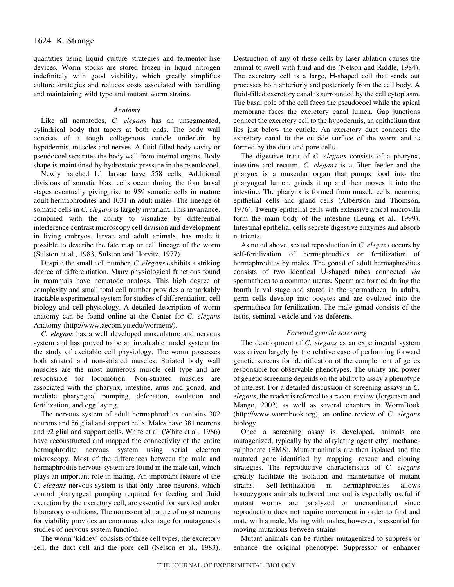quantities using liquid culture strategies and fermentor-like devices. Worm stocks are stored frozen in liquid nitrogen indefinitely with good viability, which greatly simplifies culture strategies and reduces costs associated with handling and maintaining wild type and mutant worm strains.

# *Anatomy*

Like all nematodes, *C. elegans* has an unsegmented, cylindrical body that tapers at both ends. The body wall consists of a tough collagenous cuticle underlain by hypodermis, muscles and nerves. A fluid-filled body cavity or pseudocoel separates the body wall from internal organs. Body shape is maintained by hydrostatic pressure in the pseudocoel.

Newly hatched L1 larvae have 558 cells. Additional divisions of somatic blast cells occur during the four larval stages eventually giving rise to 959 somatic cells in mature adult hermaphrodites and 1031 in adult males. The lineage of somatic cells in *C. elegans* is largely invariant. This invariance, combined with the ability to visualize by differential interference contrast microscopy cell division and development in living embryos, larvae and adult animals, has made it possible to describe the fate map or cell lineage of the worm (Sulston et al., 1983; Sulston and Horvitz, 1977).

Despite the small cell number, *C. elegans* exhibits a striking degree of differentiation. Many physiological functions found in mammals have nematode analogs. This high degree of complexity and small total cell number provides a remarkably tractable experimental system for studies of differentiation, cell biology and cell physiology. A detailed description of worm anatomy can be found online at the Center for *C. elegans* Anatomy (http://www.aecom.yu.edu/wormem/).

*C. elegans* has a well developed musculature and nervous system and has proved to be an invaluable model system for the study of excitable cell physiology. The worm possesses both striated and non-striated muscles. Striated body wall muscles are the most numerous muscle cell type and are responsible for locomotion. Non-striated muscles are associated with the pharynx, intestine, anus and gonad, and mediate pharyngeal pumping, defecation, ovulation and fertilization, and egg laying.

The nervous system of adult hermaphrodites contains 302 neurons and 56 glial and support cells. Males have 381 neurons and 92 glial and support cells. White et al. (White et al., 1986) have reconstructed and mapped the connectivity of the entire hermaphrodite nervous system using serial electron microscopy. Most of the differences between the male and hermaphrodite nervous system are found in the male tail, which plays an important role in mating. An important feature of the *C. elegans* nervous system is that only three neurons, which control pharyngeal pumping required for feeding and fluid excretion by the excretory cell, are essential for survival under laboratory conditions. The nonessential nature of most neurons for viability provides an enormous advantage for mutagenesis studies of nervous system function.

The worm 'kidney' consists of three cell types, the excretory cell, the duct cell and the pore cell (Nelson et al., 1983). Destruction of any of these cells by laser ablation causes the animal to swell with fluid and die (Nelson and Riddle, 1984). The excretory cell is a large, H-shaped cell that sends out processes both anteriorly and posteriorly from the cell body. A fluid-filled excretory canal is surrounded by the cell cytoplasm. The basal pole of the cell faces the pseudocoel while the apical membrane faces the excretory canal lumen. Gap junctions connect the excretory cell to the hypodermis, an epithelium that lies just below the cuticle. An excretory duct connects the excretory canal to the outside surface of the worm and is formed by the duct and pore cells.

The digestive tract of *C. elegans* consists of a pharynx, intestine and rectum. *C. elegans* is a filter feeder and the pharynx is a muscular organ that pumps food into the pharyngeal lumen, grinds it up and then moves it into the intestine. The pharynx is formed from muscle cells, neurons, epithelial cells and gland cells (Albertson and Thomson, 1976). Twenty epithelial cells with extensive apical microvilli form the main body of the intestine (Leung et al., 1999). Intestinal epithelial cells secrete digestive enzymes and absorb nutrients.

As noted above, sexual reproduction in *C. elegans* occurs by self-fertilization of hermaphrodites or fertilization of hermaphrodites by males. The gonad of adult hermaphrodites consists of two identical U-shaped tubes connected *via* spermatheca to a common uterus. Sperm are formed during the fourth larval stage and stored in the spermatheca. In adults, germ cells develop into oocytes and are ovulated into the spermatheca for fertilization. The male gonad consists of the testis, seminal vesicle and vas deferens.

# *Forward genetic screening*

The development of *C. elegans* as an experimental system was driven largely by the relative ease of performing forward genetic screens for identification of the complement of genes responsible for observable phenotypes. The utility and power of genetic screening depends on the ability to assay a phenotype of interest. For a detailed discussion of screening assays in *C. elegans*, the reader is referred to a recent review (Jorgensen and Mango, 2002) as well as several chapters in WormBook (http://www.wormbook.org), an online review of *C. elegans* biology.

Once a screening assay is developed, animals are mutagenized, typically by the alkylating agent ethyl methanesulphonate (EMS). Mutant animals are then isolated and the mutated gene identified by mapping, rescue and cloning strategies. The reproductive characteristics of *C. elegans* greatly facilitate the isolation and maintenance of mutant strains. Self-fertilization in hermaphrodites allows homozygous animals to breed true and is especially useful if mutant worms are paralyzed or uncoordinated since reproduction does not require movement in order to find and mate with a male. Mating with males, however, is essential for moving mutations between strains.

Mutant animals can be further mutagenized to suppress or enhance the original phenotype. Suppressor or enhancer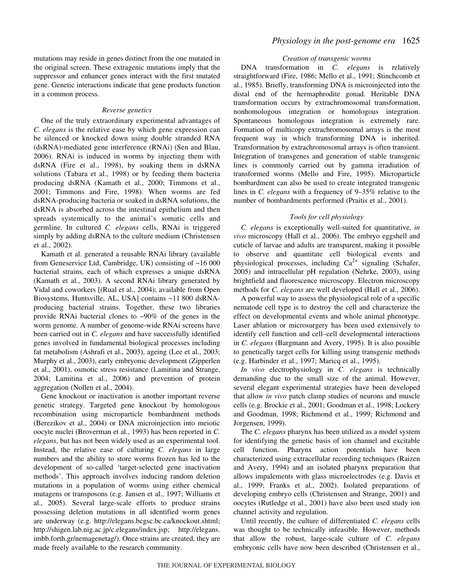mutations may reside in genes distinct from the one mutated in the original screen. These extragenic mutations imply that the suppressor and enhancer genes interact with the first mutated gene. Genetic interactions indicate that gene products function in a common process.

#### *Reverse genetics*

One of the truly extraordinary experimental advantages of *C. elegans* is the relative ease by which gene expression can be silenced or knocked down using double stranded RNA (dsRNA)-mediated gene interference (RNAi) (Sen and Blau, 2006). RNAi is induced in worms by injecting them with dsRNA (Fire et al., 1998), by soaking them in dsRNA solutions (Tabara et al., 1998) or by feeding them bacteria producing dsRNA (Kamath et al., 2000; Timmons et al., 2001; Timmons and Fire, 1998). When worms are fed dsRNA-producing bacteria or soaked in dsRNA solutions, the dsRNA is absorbed across the intestinal epithelium and then spreads systemically to the animal's somatic cells and germline. In cultured *C. elegans* cells, RNAi is triggered simply by adding dsRNA to the culture medium (Christensen et al., 2002).

Kamath et al. generated a reusable RNAi library (available from Geneservice Ltd, Cambridge, UK) consisting of  $~16000$ bacterial strains, each of which expresses a unique dsRNA (Kamath et al., 2003). A second RNAi library generated by Vidal and coworkers [(Rual et al., 2004); available from Open Biosystems, Huntsville, AL, USA] contains ~11 800 dsRNAproducing bacterial strains. Together, these two libraries provide RNAi bacterial clones to ~90% of the genes in the worm genome. A number of genome-wide RNAi screens have been carried out in *C. elegans* and have successfully identified genes involved in fundamental biological processes including fat metabolism (Ashrafi et al., 2003), ageing (Lee et al., 2003; Murphy et al., 2003), early embryonic development (Zipperlen et al., 2001), osmotic stress resistance (Lamitina and Strange, 2004; Lamitina et al., 2006) and prevention of protein aggregation (Nollen et al., 2004).

Gene knockout or inactivation is another important reverse genetic strategy. Targeted gene knockout by homologous recombination using microparticle bombardment methods (Berezikov et al., 2004) or DNA microinjection into meiotic oocyte nuclei (Broverman et al., 1993) has been reported in *C. elegans*, but has not been widely used as an experimental tool. Instead, the relative ease of culturing *C. elegans* in large numbers and the ability to store worms frozen has led to the development of so-called 'target-selected gene inactivation methods'. This approach involves inducing random deletion mutations in a population of worms using either chemical mutagens or transposons (e.g. Jansen et al., 1997; Williams et al., 2005). Several large-scale efforts to produce strains possessing deletion mutations in all identified worm genes are underway (e.g. http://elegans.bcgsc.bc.ca/knockout.shtml; http://shigen.lab.nig.ac.jp/c.elegans/index.jsp; http://elegans. imbb.forth.gr/nemagenetag/). Once strains are created, they are made freely available to the research community.

# *Creation of transgenic worms*

DNA transformation in *C. elegans* is relatively straightforward (Fire, 1986; Mello et al., 1991; Stinchcomb et al., 1985). Briefly, transforming DNA is microinjected into the distal end of the hermaphrodite gonad. Heritable DNA transformation occurs by extrachromosomal transformation, nonhomologous integration or homologous integration. Spontaneous homologous integration is extremely rare. Formation of multicopy extrachromosomal arrays is the most frequent way in which transforming DNA is inherited. Transformation by extrachromosomal arrays is often transient. Integration of transgenes and generation of stable transgenic lines is commonly carried out by gamma irradiation of transformed worms (Mello and Fire, 1995). Microparticle bombardment can also be used to create integrated transgenic lines in *C. elegans* with a frequency of 9–35% relative to the number of bombardments performed (Praitis et al., 2001).

# *Tools for cell physiology*

*C. elegans* is exceptionally well-suited for quantitative, *in vivo* microscopy (Hall et al., 2006). The embryo eggshell and cuticle of larvae and adults are transparent, making it possible to observe and quantitate cell biological events and physiological processes, including  $Ca^{2+}$  signaling (Schafer, 2005) and intracellular pH regulation (Nehrke, 2003), using brightfield and fluorescence microscopy. Electron microscopy methods for *C. elegans* are well developed (Hall et al., 2006).

A powerful way to assess the physiological role of a specific nematode cell type is to destroy the cell and characterize the effect on developmental events and whole animal phenotype. Laser ablation or microsurgery has been used extensively to identify cell function and cell–cell developmental interactions in *C. elegans* (Bargmann and Avery, 1995). It is also possible to genetically target cells for killing using transgenic methods (e.g. Harbinder et al., 1997; Maricq et al., 1995).

*In vivo* electrophysiology in *C. elegans* is technically demanding due to the small size of the animal. However, several elegant experimental strategies have been developed that allow *in vivo* patch clamp studies of neurons and muscle cells (e.g. Brockie et al., 2001; Goodman et al., 1998; Lockery and Goodman, 1998; Richmond et al., 1999; Richmond and Jorgensen, 1999).

The *C. elegans* pharynx has been utilized as a model system for identifying the genetic basis of ion channel and excitable cell function. Pharynx action potentials have been characterized using extracellular recording techniques (Raizen and Avery, 1994) and an isolated pharynx preparation that allows impalements with glass microelectrodes (e.g. Davis et al., 1999; Franks et al., 2002). Isolated preparations of developing embryo cells (Christensen and Strange, 2001) and oocytes (Rutledge et al., 2001) have also been used study ion channel activity and regulation.

Until recently, the culture of differentiated *C. elegans* cells was thought to be technically infeasible. However, methods that allow the robust, large-scale culture of *C. elegans* embryonic cells have now been described (Christensen et al.,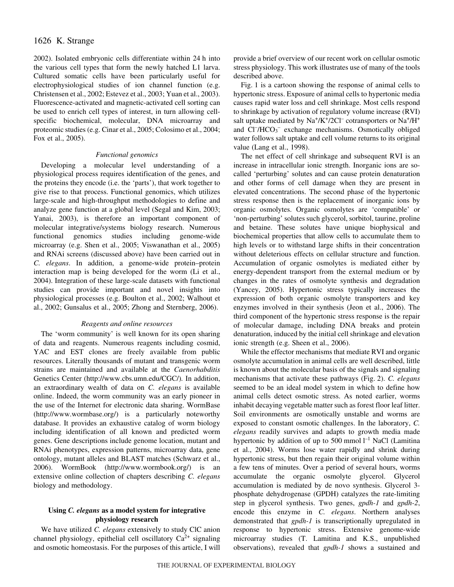# 1626 K. Strange

2002). Isolated embryonic cells differentiate within 24 h into the various cell types that form the newly hatched L1 larva. Cultured somatic cells have been particularly useful for electrophysiological studies of ion channel function (e.g. Christensen et al., 2002; Estevez et al., 2003; Yuan et al., 2003). Fluorescence-activated and magnetic-activated cell sorting can be used to enrich cell types of interest, in turn allowing cellspecific biochemical, molecular, DNA microarray and proteomic studies (e.g. Cinar et al., 2005; Colosimo et al., 2004; Fox et al., 2005).

#### *Functional genomics*

Developing a molecular level understanding of a physiological process requires identification of the genes, and the proteins they encode (i.e. the 'parts'), that work together to give rise to that process. Functional genomics, which utilizes large-scale and high-throughput methodologies to define and analyze gene function at a global level (Segal and Kim, 2003; Yanai, 2003), is therefore an important component of molecular integrative/systems biology research. Numerous functional genomics studies including genome-wide microarray (e.g. Shen et al., 2005; Viswanathan et al., 2005) and RNAi screens (discussed above) have been carried out in *C. elegans*. In addition, a genome-wide protein–protein interaction map is being developed for the worm (Li et al., 2004). Integration of these large-scale datasets with functional studies can provide important and novel insights into physiological processes (e.g. Boulton et al., 2002; Walhout et al., 2002; Gunsalus et al., 2005; Zhong and Sternberg, 2006).

#### *Reagents and online resources*

The 'worm community' is well known for its open sharing of data and reagents. Numerous reagents including cosmid, YAC and EST clones are freely available from public resources. Literally thousands of mutant and transgenic worm strains are maintained and available at the *Caenorhabditis* Genetics Center (http://www.cbs.umn.edu/CGC/)*.* In addition, an extraordinary wealth of data on *C. elegans* is available online. Indeed, the worm community was an early pioneer in the use of the Internet for electronic data sharing. WormBase (http://www.wormbase.org/) is a particularly noteworthy database. It provides an exhaustive catalog of worm biology including identification of all known and predicted worm genes. Gene descriptions include genome location, mutant and RNAi phenotypes, expression patterns, microarray data, gene ontology, mutant alleles and BLAST matches (Schwarz et al., 2006). WormBook (http://www.wormbook.org/) is an extensive online collection of chapters describing *C. elegans* biology and methodology.

# **Using** *C. elegans* **as a model system for integrative physiology research**

We have utilized *C. elegans* extensively to study ClC anion channel physiology, epithelial cell oscillatory  $Ca^{2+}$  signaling and osmotic homeostasis. For the purposes of this article, I will provide a brief overview of our recent work on cellular osmotic stress physiology. This work illustrates use of many of the tools described above.

Fig. 1 is a cartoon showing the response of animal cells to hypertonic stress. Exposure of animal cells to hypertonic media causes rapid water loss and cell shrinkage. Most cells respond to shrinkage by activation of regulatory volume increase (RVI) salt uptake mediated by  $Na^+/K^+/2Cl^-$  cotransporters or  $Na^+/H^+$ and Cl<sup>-</sup>/HCO<sub>3</sub><sup>-</sup> exchange mechanisms. Osmotically obliged water follows salt uptake and cell volume returns to its original value (Lang et al., 1998).

The net effect of cell shrinkage and subsequent RVI is an increase in intracellular ionic strength. Inorganic ions are socalled 'perturbing' solutes and can cause protein denaturation and other forms of cell damage when they are present in elevated concentrations. The second phase of the hypertonic stress response then is the replacement of inorganic ions by organic osmolytes. Organic osmolytes are 'compatible' or 'non-perturbing' solutes such glycerol, sorbitol, taurine, proline and betaine. These solutes have unique biophysical and biochemical properties that allow cells to accumulate them to high levels or to withstand large shifts in their concentration without deleterious effects on cellular structure and function. Accumulation of organic osmolytes is mediated either by energy-dependent transport from the external medium or by changes in the rates of osmolyte synthesis and degradation (Yancey, 2005). Hypertonic stress typically increases the expression of both organic osmolyte transporters and key enzymes involved in their synthesis (Jeon et al., 2006). The third component of the hypertonic stress response is the repair of molecular damage, including DNA breaks and protein denaturation, induced by the initial cell shrinkage and elevation ionic strength (e.g. Sheen et al., 2006).

While the effector mechanisms that mediate RVI and organic osmolyte accumulation in animal cells are well described, little is known about the molecular basis of the signals and signaling mechanisms that activate these pathways (Fig. 2). *C. elegans* seemed to be an ideal model system in which to define how animal cells detect osmotic stress. As noted earlier, worms inhabit decaying vegetable matter such as forest floor leaf litter. Soil environments are osmotically unstable and worms are exposed to constant osmotic challenges. In the laboratory, *C. elegans* readily survives and adapts to growth media made hypertonic by addition of up to 500 mmol  $l^{-1}$  NaCl (Lamitina et al., 2004). Worms lose water rapidly and shrink during hypertonic stress, but then regain their original volume within a few tens of minutes. Over a period of several hours, worms accumulate the organic osmolyte glycerol. Glycerol accumulation is mediated by de novo synthesis. Glycerol 3 phosphate dehydrogenase (GPDH) catalyzes the rate-limiting step in glycerol synthesis. Two genes, *gpdh-1* and *gpdh-2*, encode this enzyme in *C. elegans*. Northern analyses demonstrated that *gpdh-1* is transcriptionally upregulated in response to hypertonic stress. Extensive genome-wide microarray studies (T. Lamitina and K.S., unpublished observations), revealed that *gpdh-1* shows a sustained and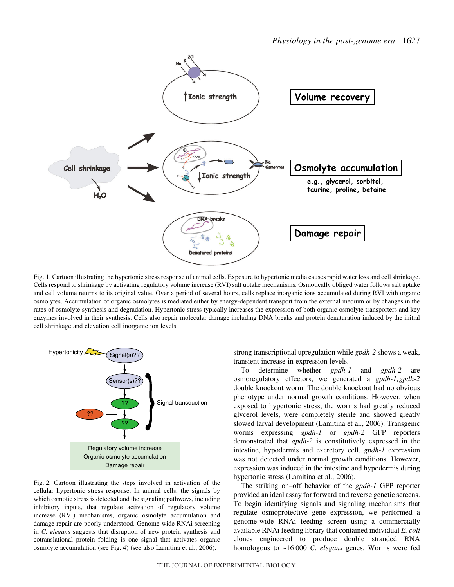

Fig. 1. Cartoon illustrating the hypertonic stress response of animal cells. Exposure to hypertonic media causes rapid water loss and cell shrinkage. Cells respond to shrinkage by activating regulatory volume increase (RVI) salt uptake mechanisms. Osmotically obliged water follows salt uptake and cell volume returns to its original value. Over a period of several hours, cells replace inorganic ions accumulated during RVI with organic osmolytes. Accumulation of organic osmolytes is mediated either by energy-dependent transport from the external medium or by changes in the rates of osmolyte synthesis and degradation. Hypertonic stress typically increases the expression of both organic osmolyte transporters and key enzymes involved in their synthesis. Cells also repair molecular damage including DNA breaks and protein denaturation induced by the initial cell shrinkage and elevation cell inorganic ion levels.



Fig. 2. Cartoon illustrating the steps involved in activation of the cellular hypertonic stress response. In animal cells, the signals by which osmotic stress is detected and the signaling pathways, including inhibitory inputs, that regulate activation of regulatory volume increase (RVI) mechanisms, organic osmolyte accumulation and damage repair are poorly understood. Genome-wide RNAi screening in *C. elegans* suggests that disruption of new protein synthesis and cotranslational protein folding is one signal that activates organic osmolyte accumulation (see Fig. 4) (see also Lamitina et al., 2006).

strong transcriptional upregulation while *gpdh-2* shows a weak, transient increase in expression levels.

To determine whether *gpdh-1* and *gpdh-2* are osmoregulatory effectors, we generated a *gpdh-1;gpdh-2* double knockout worm. The double knockout had no obvious phenotype under normal growth conditions. However, when exposed to hypertonic stress, the worms had greatly reduced glycerol levels, were completely sterile and showed greatly slowed larval development (Lamitina et al., 2006). Transgenic worms expressing *gpdh-1* or *gpdh-2* GFP reporters demonstrated that *gpdh-2* is constitutively expressed in the intestine, hypodermis and excretory cell. *gpdh-1* expression was not detected under normal growth conditions. However, expression was induced in the intestine and hypodermis during hypertonic stress (Lamitina et al., 2006).

The striking on–off behavior of the *gpdh-1* GFP reporter provided an ideal assay for forward and reverse genetic screens. To begin identifying signals and signaling mechanisms that regulate osmoprotective gene expression, we performed a genome-wide RNAi feeding screen using a commercially available RNAi feeding library that contained individual *E. coli* clones engineered to produce double stranded RNA homologous to ~16·000 *C. elegans* genes. Worms were fed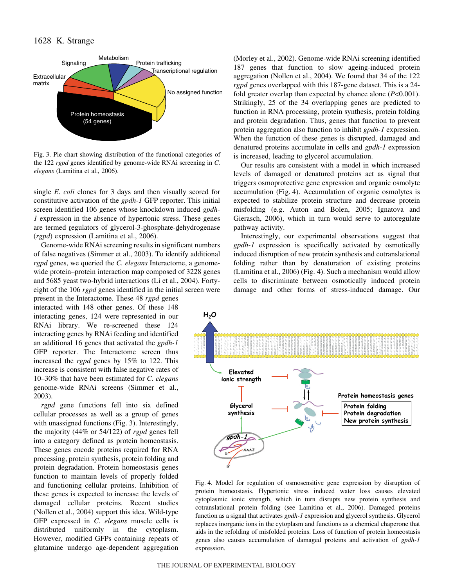

Fig. 3. Pie chart showing distribution of the functional categories of the 122 *rgpd* genes identified by genome-wide RNAi screening in *C. elegans* (Lamitina et al., 2006).

single *E. coli* clones for 3 days and then visually scored for constitutive activation of the *gpdh-1* GFP reporter. This initial screen identified 106 genes whose knockdown induced *gpdh-1* expression in the absence of hypertonic stress. These genes are termed regulators of glycerol-3-phosphate-dehydrogenase (*rgpd*) expression (Lamitina et al., 2006).

Genome-wide RNAi screening results in significant numbers of false negatives (Simmer et al., 2003). To identify additional *rgpd* genes, we queried the *C. elegans* Interactome, a genomewide protein–protein interaction map composed of 3228 genes and 5685 yeast two-hybrid interactions (Li et al., 2004). Fortyeight of the 106 *rgpd* genes identified in the initial screen were

present in the Interactome. These 48 *rgpd* genes interacted with 148 other genes. Of these 148 interacting genes, 124 were represented in our RNAi library. We re-screened these 124 interacting genes by RNAi feeding and identified an additional 16 genes that activated the *gpdh-1* GFP reporter. The Interactome screen thus increased the *rgpd* genes by 15% to 122. This increase is consistent with false negative rates of 10–30% that have been estimated for *C. elegans* genome-wide RNAi screens (Simmer et al., 2003).

*rgpd* gene functions fell into six defined cellular processes as well as a group of genes with unassigned functions (Fig. 3). Interestingly, the majority (44% or 54/122) of *rgpd* genes fell into a category defined as protein homeostasis. These genes encode proteins required for RNA processing, protein synthesis, protein folding and protein degradation. Protein homeostasis genes function to maintain levels of properly folded and functioning cellular proteins. Inhibition of these genes is expected to increase the levels of damaged cellular proteins. Recent studies (Nollen et al., 2004) support this idea. Wild-type GFP expressed in *C. elegans* muscle cells is distributed uniformly in the cytoplasm. However, modified GFPs containing repeats of glutamine undergo age-dependent aggregation

(Morley et al., 2002). Genome-wide RNAi screening identified 187 genes that function to slow ageing-induced protein aggregation (Nollen et al., 2004). We found that 34 of the 122 *rgpd* genes overlapped with this 187-gene dataset. This is a 24 fold greater overlap than expected by chance alone (*P*<0.001). Strikingly, 25 of the 34 overlapping genes are predicted to function in RNA processing, protein synthesis, protein folding and protein degradation. Thus, genes that function to prevent protein aggregation also function to inhibit *gpdh-1* expression. When the function of these genes is disrupted, damaged and denatured proteins accumulate in cells and *gpdh-1* expression is increased, leading to glycerol accumulation.

Our results are consistent with a model in which increased levels of damaged or denatured proteins act as signal that triggers osmoprotective gene expression and organic osmolyte accumulation (Fig. 4). Accumulation of organic osmolytes is expected to stabilize protein structure and decrease protein misfolding (e.g. Auton and Bolen, 2005; Ignatova and Gierasch, 2006), which in turn would serve to autoregulate pathway activity.

Interestingly, our experimental observations suggest that *gpdh-1* expression is specifically activated by osmotically induced disruption of new protein synthesis and cotranslational folding rather than by denaturation of existing proteins  $(Lamitina et al., 2006)$  (Fig. 4). Such a mechanism would allow cells to discriminate between osmotically induced protein damage and other forms of stress-induced damage. Our



Fig. 4. Model for regulation of osmosensitive gene expression by disruption of protein homeostasis. Hypertonic stress induced water loss causes elevated cytoplasmic ionic strength, which in turn disrupts new protein synthesis and cotranslational protein folding (see Lamitina et al., 2006). Damaged proteins function as a signal that activates *gpdh-1* expression and glycerol synthesis. Glycerol replaces inorganic ions in the cytoplasm and functions as a chemical chaperone that aids in the refolding of misfolded proteins. Loss of function of protein homeostasis genes also causes accumulation of damaged proteins and activation of *gpdh-1* expression.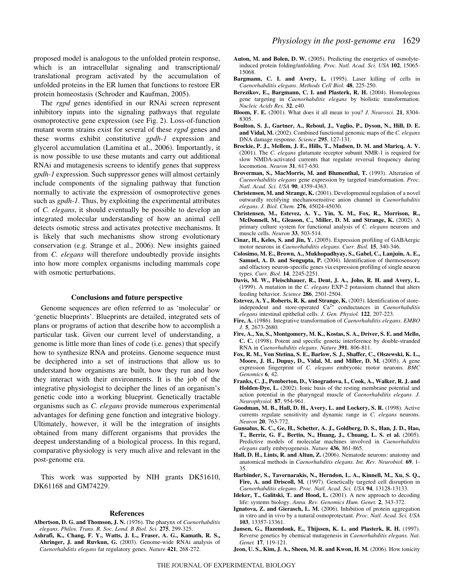proposed model is analogous to the unfolded protein response, which is an intracellular signaling and transcriptional/ translational program activated by the accumulation of unfolded proteins in the ER lumen that functions to restore ER protein homeostasis (Schroder and Kaufman, 2005).

The *rgpd* genes identified in our RNAi screen represent inhibitory inputs into the signaling pathways that regulate osmoprotective gene expression (see Fig. 2). Loss-of-function mutant worm strains exist for several of these *rgpd* genes and these worms exhibit constitutive *gpdh-1* expression and glycerol accumulation (Lamitina et al., 2006). Importantly, it is now possible to use these mutants and carry out additional RNAi and mutagenesis screens to identify genes that suppress *gpdh-1* expression. Such suppressor genes will almost certainly include components of the signaling pathway that function normally to activate the expression of osmoprotective genes such as *gpdh-1*. Thus, by exploiting the experimental attributes of *C. elegans*, it should eventually be possible to develop an integrated molecular understanding of how an animal cell detects osmotic stress and activates protective mechanisms. It is likely that such mechanisms show strong evolutionary conservation (e.g. Strange et al., 2006). New insights gained from *C. elegans* will therefore undoubtedly provide insights into how more complex organisms including mammals cope with osmotic perturbations.

#### **Conclusions and future perspective**

Genome sequences are often referred to as 'molecular' or 'genetic blueprints'. Blueprints are detailed, integrated sets of plans or programs of action that describe how to accomplish a particular task. Given our current level of understanding, a genome is little more than lines of code (i.e. genes) that specify how to synthesize RNA and proteins. Genome sequence must be deciphered into a set of instructions that allow us to understand how organisms are built, how they run and how they interact with their environments. It is the job of the integrative physiologist to decipher the lines of an organism's genetic code into a working blueprint. Genetically tractable organisms such as *C. elegans* provide numerous experimental advantages for defining gene function and integrative biology. Ultimately, however, it will be the integration of insights obtained from many different organisms that provides the deepest understanding of a biological process. In this regard, comparative physiology is very much alive and relevant in the post-genome era.

This work was supported by NIH grants DK51610, DK61168 and GM74229.

#### **References**

- **Albertson, D. G. and Thomson, J. N.** (1976). The pharynx of *Caenorhabditis elegans*. *Philos. Trans. R. Soc. Lond. B Biol. Sci.* **275**, 299-325.
- **Ashrafi, K., Chang, F. Y., Watts, J. L., Fraser, A. G., Kamath, R. S., Ahringer, J. and Ruvkun, G.** (2003). Genome-wide RNAi analysis of *Caenorhabditis elegans* fat regulatory genes. *Nature* **421**, 268-272.
- Auton, M. and Bolen, D. W. (2005). Predicting the energetics of osmolyteinduced protein folding/unfolding. *Proc. Natl. Acad. Sci. USA* **102**, 15065- 15068.
- **Bargmann, C. I. and Avery, L.** (1995). Laser killing of cells in *Caenorhabditis elegans*. *Methods Cell Biol.* **48**, 225-250.
- **Berezikov, E., Bargmann, C. I. and Plasterk, R. H.** (2004). Homologous gene targeting in *Caenorhabditis elegans* by biolistic transformation. *Nucleic Acids Res.* **32**, e40.
- **Bloom, F. E.** (2001). What does it all mean to you? *J. Neurosci*. **21**, 8304- 8305.
- **Boulton, S. J., Gartner, A., Reboul, J., Vaglio, P., Dyson, N., Hill, D. E. and Vidal, M.** (2002). Combined functional genomic maps of the *C. elegans* DNA damage response. *Science* **295**, 127-131.
- **Brockie, P. J., Mellem, J. E., Hills, T., Madsen, D. M. and Maricq, A. V.** (2001). The *C. elegans* glutamate receptor subunit NMR-1 is required for slow NMDA-activated currents that regulate reversal frequency during locomotion. *Neuron* **31**, 617-630.
- **Broverman, S., MacMorris, M. and Blumenthal, T.** (1993). Alteration of *Caenorhabditis elegans* gene expression by targeted transformation. *Proc. Natl. Acad. Sci. USA* **90**, 4359-4363.
- **Christensen, M. and Strange, K.** (2001). Developmental regulation of a novel outwardly rectifying mechanosensitive anion channel in *Caenorhabditis elegans*. *J. Biol. Chem.* **276**, 45024-45030.
- **Christensen, M., Estevez, A. Y., Yin, X. M., Fox, R., Morrison, R., McDonnell, M., Gleason, C., Miller, D. M. and Strange, K.** (2002). A primary culture system for functional analysis of *C. elegans* neurons and muscle cells. *Neuron* **33**, 503-514.
- **Cinar, H., Keles, S. and Jin, Y.** (2005). Expression profiling of GABAergic motor neurons in *Caenorhabditis elegans*. *Curr. Biol.* **15**, 340-346.
- **Colosimo, M. E., Brown, A., Mukhopadhyay, S., Gabel, C., Lanjuin, A. E., Samuel, A. D. and Sengupta, P.** (2004). Identification of thermosensory and olfactory neuron-specific genes via expression profiling of single neuron types. *Curr. Biol.* **14**, 2245-2251.
- **Davis, M. W., Fleischhauer, R., Dent, J. A., Joho, R. H. and Avery, L.** (1999). A mutation in the *C. elegans* EXP-2 potassium channel that alters feeding behavior. *Science* **286**, 2501-2504.
- **Estevez, A. Y., Roberts, R. K. and Strange, K.** (2003). Identification of storeindependent and store-operated Ca2+ conductances in *Caenorhabditis elegans* intestinal epithelial cells. *J. Gen. Physiol.* **122**, 207-223.
- **Fire, A.** (1986). Integrative transformation of *Caenorhabditis elegans*. *EMBO J.* **5**, 2673-2680.
- **Fire, A., Xu, S., Montgomery, M. K., Kostas, S. A., Driver, S. E. and Mello, C. C.** (1998). Potent and specific genetic interference by double-stranded RNA in *Caenorhabditis elegans*. *Nature* **391**, 806-811.
- **Fox, R. M., Von Stetina, S. E., Barlow, S. J., Shaffer, C., Olszewski, K. L., Moore, J. H., Dupuy, D., Vidal, M. and Miller, D. M.** (2005). A gene expression fingerprint of *C. elegans* embryonic motor neurons. *BMC Genomics* **6**, 42.
- **Franks, C. J., Pemberton, D., Vinogradova, I., Cook, A., Walker, R. J. and Holden-Dye, L.** (2002). Ionic basis of the resting membrane potential and action potential in the pharyngeal muscle of *Caenorhabditis elegans*. *J. Neurophysiol.* **87**, 954-961.
- **Goodman, M. B., Hall, D. H., Avery, L. and Lockery, S. R.** (1998). Active currents regulate sensitivity and dynamic range in *C. elegans* neurons. *Neuron* **20**, 763-772.
- **Gunsalus, K. C., Ge, H., Schetter, A. J., Goldberg, D. S., Han, J. D., Hao, T., Berriz, G. F., Bertin, N., Huang, J., Chuang, L. S. et al.** (2005). Predictive models of molecular machines involved in *Caenorhabditis elegans* early embryogenesis. *Nature* **436**, 861-865.
- **Hall, D. H., Lints, R. and Altun, Z.** (2006). Nematode neurons: anatomy and anatomical methods in *Caenorhabditis elegans*. *Int. Rev. Neurobiol.* **69**, 1- 35.
- **Harbinder, S., Tavernarakis, N., Herndon, L. A., Kinnell, M., Xu, S. Q., Fire, A. and Driscoll, M***.* (1997). Genetically targeted cell disruption in *Caenorhabditis elegans*. *Proc. Natl. Acad. Sci. USA* **94**, 13128-13133.
- **Ideker, T., Galitski, T. and Hood, L.** (2001). A new approach to decoding life: systems biology. *Annu. Rev. Genomics Hum. Genet.* **2**, 343-372.
- **Ignatova, Z. and Gierasch, L. M.** (2006). Inhibition of protein aggregation in vitro and in vivo by a natural osmoprotectant. *Proc. Natl. Acad. Sci. USA* **103**, 13357-13361.
- **Jansen, G., Hazendonk, E., Thijssen, K. L. and Plasterk, R. H.** (1997). Reverse genetics by chemical mutagenesis in *Caenorhabditis elegans*. *Nat. Genet.* **17**, 119-121.
- **Jeon, U. S., Kim, J. A., Sheen, M. R. and Kwon, H. M***.* (2006). How tonicity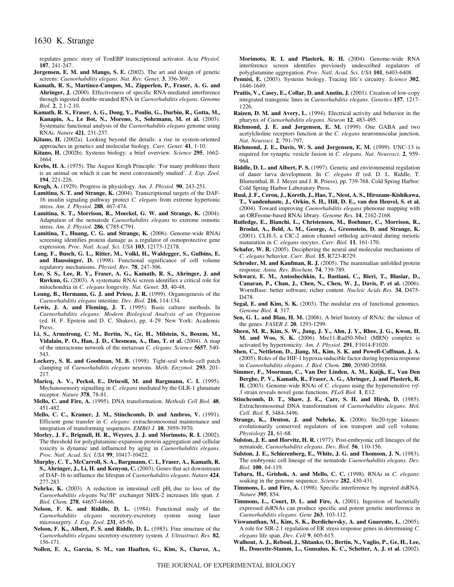# 1630 K. Strange

regulates genes: story of TonEBP transcriptional activator. *Acta Physiol.* **187**, 241-247.

- **Jorgensen, E. M. and Mango, S. E.** (2002). The art and design of genetic screens: *Caenorhabditis elegans*. *Nat. Rev. Genet.* **3**, 356-369.
- **Kamath, R. S., Martinez-Campos, M., Zipperlen, P., Fraser, A. G. and Ahringer, J.** (2000). Effectiveness of specific RNA-mediated interference through ingested double-stranded RNA in *Caenorhabditis elegans*. *Genome Biol.* **2**, 2.1-2.10.
- **Kamath, R. S., Fraser, A. G., Dong, Y., Poulin, G., Durbin, R., Gotta, M., Kanapin, A., Le Bot, N., Moreno, S., Sohrmann, M. et al.** (2003). Systematic functional analysis of the *Caenorhabditis elegans* genome using RNAi. *Nature* **421**, 231-237.
- **Kitano, H.** (2002a). Looking beyond the details: a rise in system-oriented approaches in genetics and molecular biology. *Curr. Genet.* **41**, 1-10.
- **Kitano, H.** (2002b). Systems biology: a brief overview. *Science* **295**, 1662- 1664.
- **Krebs, H. A.** (1975). The August Krogh Principle: 'For many problems there is an animal on which it can be most conveniently studied'. *J. Exp. Zool.* **194**, 221-226.
- **Krogh, A.** (1929). Progress in physiology. *Am. J. Physiol.* **90**, 243-251.
- **Lamitina, S. T. and Strange, K.** (2004). Transcriptional targets of the DAF-16 insulin signaling pathway protect *C. elegans* from extreme hypertonic stress. *Am. J. Physiol.* **288**, 467-474.
- **Lamitina, S. T., Morrison, R., Moeckel, G. W. and Strange, K.** (2004). Adaptation of the nematode *Caenorhabditis elegans* to extreme osmotic stress. *Am. J. Physiol.* **286**, C785-C791.
- **Lamitina, T., Huang, C. G. and Strange, K.** (2006). Genome-wide RNAi screening identifies protein damage as a regulator of osmoprotective gene expression. *Proc. Natl. Acad. Sci. USA* **103**, 12173-12178.
- **Lang, F., Busch, G. L., Ritter, M., Volkl, H., Waldegger, S., Gulbins, E. and Haussinger, D.** (1998). Functional significance of cell volume regulatory mechanisms. *Physiol. Rev.* **78**, 247-306.
- **Lee, S. S., Lee, R. Y., Fraser, A. G., Kamath, R. S., Ahringer, J. and Ruvkun, G.** (2003). A systematic RNAi screen identifies a critical role for mitochondria in *C. elegans* longevity. *Nat. Genet.* **33**, 40-48.
- **Leung, B., Hermann, G. J. and Priess, J. R.** (1999). Organogenesis of the *Caenorhabditis elegans* intestine. *Dev. Biol.* **216**, 114-134.
- **Lewis, J. A. and Fleming, J. T.** (1995). Basic culture methods. In *Caenorhabditis elegans: Modern Biological Analysis of an Organism* (ed. H. F. Epstein and D. C. Shakes), pp. 4-29. New York: Academic Press.
- **Li, S., Armstrong, C. M., Bertin, N., Ge, H., Milstein, S., Boxem, M., Vidalain, P. O., Han, J. D., Chesneau, A., Hao, T. et al.** (2004). A map of the interactome network of the metazoan *C. elegans*. *Science* **5657**, 540- 543.
- **Lockery, S. R. and Goodman, M. B.** (1998). Tight-seal whole-cell patch clamping of *Caenorhabditis elegans* neurons. *Meth. Enzymol.* **293**, 201- 217.
- **Maricq, A. V., Peckol, E., Driscoll, M. and Bargmann, C. I.** (1995). Mechanosensory signalling in *C. elegans* mediated by the GLR-1 glutamate receptor. *Nature* **378**, 78-81.
- **Mello, C. and Fire, A.** (1995). DNA transformation. *Methods Cell Biol.* **48**, 451-482.
- **Mello, C. C., Kramer, J. M., Stinchcomb, D. and Ambros, V.** (1991). Efficient gene transfer in *C. elegans*: extrachromosomal maintenance and integration of transforming sequences. *EMBO J.* **10**, 3959-3970.
- **Morley, J. F., Brignull, H. R., Weyers, J. J. and Morimoto, R. I.** (2002). The threshold for polyglutamine-expansion protein aggregation and cellular toxicity is dynamic and influenced by aging in *Caenorhabditis elegans*. *Proc. Natl. Acad. Sci. USA* **99**, 10417-10422.
- **Murphy, C. T., McCarroll, S. A., Bargmann, C. I., Fraser, A., Kamath, R. S., Ahringer, J., Li, H. and Kenyon, C.** (2003). Genes that act downstream of DAF-16 to influence the lifespan of *Caenorhabditis elegans*. *Nature* **424**, 277-283.
- **Nehrke, K.** (2003). A reduction in intestinal cell  $pH_i$  due to loss of the *Caenorhabditis elega*ns Na+/H+ exchanger NHX-2 increases life span. *J. Biol. Chem.* **278**, 44657-44666.
- **Nelson, F. K. and Riddle, D. L.** (1984). Functional study of the *Caenorhabditis elegans* secretory-excretory system using laser microsurgery. *J. Exp. Zool.* **231**, 45-56.
- **Nelson, F. K., Albert, P. S. and Riddle, D. L.** (1983). Fine structure of the *Caenorhabditis elegans* secretory-excretory system. *J. Ultrastruct. Res.* **82**, 156-171.

**Nollen, E. A., Garcia, S. M., van Haaften, G., Kim, S., Chavez, A.,**

**Morimoto, R. I. and Plasterk, R. H.** (2004). Genome-wide RNA interference screen identifies previously undescribed regulators of polyglutamine aggregation. *Proc. Natl. Acad. Sci. USA* **101**, 6403-6408.

- **Pennisi, E.** (2003). Systems biology. Tracing life's circuitry. *Science* **302**, 1646-1649.
- **Praitis, V., Casey, E., Collar, D. and Austin, J.** (2001). Creation of low-copy integrated transgenic lines in *Caenorhabditis elegans*. *Genetics* **157**, 1217- 1226.
- **Raizen, D. M. and Avery, L.** (1994). Electrical activity and behavior in the pharynx of *Caenorhabditis elegans*. *Neuron* **12**, 483-495.
- **Richmond, J. E. and Jorgensen, E. M.** (1999). One GABA and two acetylcholine receptors function at the *C. elegans* neuromuscular junction. *Nat. Neurosci.* **2**, 791-797.
- **Richmond, J. E., Davis, W. S. and Jorgensen, E. M.** (1999). UNC-13 is required for synaptic vesicle fusion in *C. elegans*. *Nat. Neurosci.* **2**, 959- 964.
- **Riddle, D. L. and Albert, P. S.** (1997). Genetic and environmental regulation of dauer larva development. In *C. elegans II* (ed. D. L. Riddle, T. Blumenthal, B. J. Meyer and J. R. Priess), pp. 739-768. Cold Spring Harbor: Cold Spring Harbor Laboratory Press.
- **Rual, J. F., Ceron, J., Koreth, J., Hao, T., Nicot, A. S., Hirozane-Kishikawa, T., Vandenhaute, J., Orkin, S. H., Hill, D. E., van den Heuvel, S. et al.** (2004). Toward improving *Caenorhabditis elegans* phenome mapping with an ORFeome-based RNAi library. *Genome Res.* **14**, 2162-2168.
- **Rutledge, E., Bianchi, L., Christensen, M., Boehmer, C., Morrison, R., Broslat, A., Beld, A. M., George, A., Greenstein, D. and Strange, K.** (2001). CLH-3, a ClC-2 anion channel ortholog activated during meiotic maturation in *C. elegans* oocytes. *Curr. Biol.* **11**, 161-170.
- **Schafer, W. R.** (2005). Deciphering the neural and molecular mechanisms of *C. elegans* behavior. *Curr. Biol.* **15**, R723-R729.
- **Schroder, M. and Kaufman, R. J.** (2005). The mammalian unfolded protein response. *Annu. Rev. Biochem.* **74**, 739-789.
- **Schwarz, E. M., Antoshechkin, I., Bastiani, C., Bieri, T., Blasiar, D., Canaran, P., Chan, J., Chen, N., Chen, W. J., Davis, P. et al.** (2006). WormBase: better software, richer content. *Nucleic Acids Res.* **34**, D475- D478.
- Segal, E. and Kim, S. K. (2003). The modular era of functional genomics. *Genome Biol.* **4**, 317.
- **Sen, G. L. and Blau, H. M.** (2006). A brief history of RNAi: the silence of the genes. *FASEB J.* **20**, 1293-1299.
- **Sheen, M. R., Kim, S. W., Jung, J. Y., Ahn, J. Y., Rhee, J. G., Kwon, H. M. and Woo, S. K.** (2006). Mre11-Rad50-Nbs1 (MRN) complex is activated by hypertonicity. *Am. J. Physiol*. **291**, F1014-F1020.
- **Shen, C., Nettleton, D., Jiang, M., Kim, S. K. and Powell-Coffman, J. A.** (2005). Roles of the HIF-1 hypoxia-inducible factor during hypoxia response in *Caenorhabditis elegans*. *J. Biol. Chem.* **280**, 20580-20588.
- **Simmer, F., Moorman, C., Van Der Linden, A. M., Kuijk, E., Van Den Berghe, P. V., Kamath, R., Fraser, A. G., Ahringer, J. and Plasterk, R. H.** (2003). Genome-wide RNAi of *C. elegans* using the hypersensitive *rrf-3* strain reveals novel gene functions. *PLoS Biol.* **1**, E12.
- **Stinchcomb, D. T., Shaw, J. E., Carr, S. H. and Hirsh, D.** (1985). Extrachromosomal DNA transformation of *Caenorhabditis elegans*. *Mol. Cell. Biol.* **5**, 3484-3496.
- **Strange, K., Denton, J. and Nehrke, K.** (2006). Ste20-type kinases: evolutionarily conserved regulators of ion transport and cell volume. *Physiology* **21**, 61-68.
- **Sulston, J. E. and Horvitz, H. R.** (1977). Post-embryonic cell lineages of the nematode, *Caenorhabditis elegans*. *Dev. Biol.* **56**, 110-156.
- **Sulston, J. E., Schierenberg, E., White, J. G. and Thomson, J. N.** (1983). The embryonic cell lineage of the nematode *Caenorhabditis elegans*. *Dev. Biol.* **100**, 64-119.
- **Tabara, H., Grishok, A. and Mello, C. C.** (1998). RNAi in *C. elegans*: soaking in the genome sequence. *Science* **282**, 430-431.
- **Timmons, L. and Fire, A.** (1998). Specific interference by ingested dsRNA. *Nature* **395**, 854.
- **Timmons, L., Court, D. L. and Fire, A.** (2001). Ingestion of bacterially expressed dsRNAs can produce specific and potent genetic interference in *Caenorhabditis elegans*. *Gene* **263**, 103-112.
- **Viswanathan, M., Kim, S. K., Berdichevsky, A. and Guarente, L.** (2005). A role for SIR-2.1 regulation of ER stress response genes in determining *C. elegans* life span. *Dev. Cell* **9**, 605-615.
- **Walhout, A. J., Reboul, J., Shtanko, O., Bertin, N., Vaglio, P., Ge, H., Lee, H., Doucette-Stamm, L., Gunsalus, K. C., Schetter, A. J. et al.** (2002).